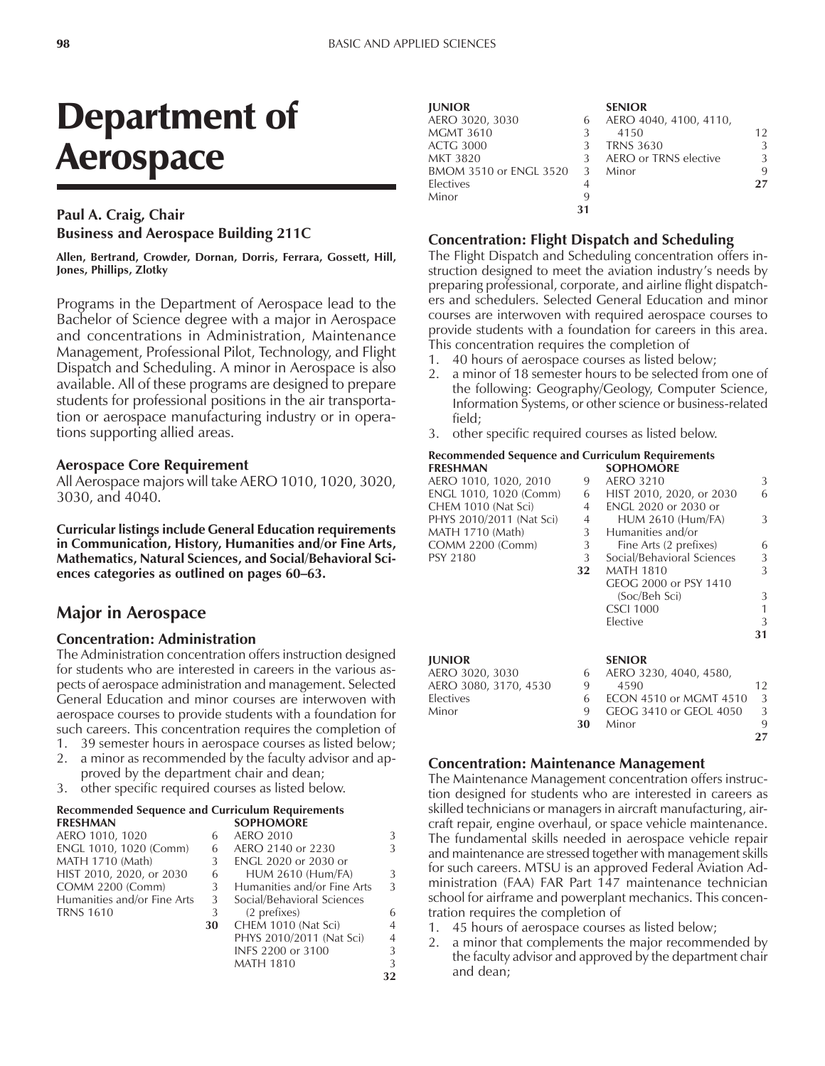### **Paul A. Craig, Chair Business and Aerospace Building 211C**

**Allen, Bertrand, Crowder, Dornan, Dorris, Ferrara, Gossett, Hill, Jones, Phillips, Zlotky**

Programs in the Department of Aerospace lead to the Bachelor of Science degree with a major in Aerospace and concentrations in Administration, Maintenance Management, Professional Pilot, Technology, and Flight Dispatch and Scheduling. A minor in Aerospace is also available. All of these programs are designed to prepare students for professional positions in the air transportation or aerospace manufacturing industry or in operations supporting allied areas.

### **Aerospace Core Requirement**

All Aerospace majors will take AERO 1010, 1020, 3020, 3030, and 4040.

**Curricular listings include General Education requirements in Communication, History, Humanities and/or Fine Arts, Mathematics, Natural Sciences, and Social/Behavioral Sci**ences categories as outlined on pages 60–63.

### **Major in Aerospace**

#### **Concentration: Administration**

The Administration concentration offers instruction designed for students who are interested in careers in the various aspects of aerospace administration and management. Selected General Education and minor courses are interwoven with aerospace courses to provide students with a foundation for such careers. This concentration requires the completion of

- 1. 39 semester hours in aerospace courses as listed below; 2. a minor as recommended by the faculty advisor and ap-
- proved by the department chair and dean;
- 3. other specific required courses as listed below.

#### **Recommended Sequence and Curriculum Requirements FRESHMAN SOPHOMORE**

| AERO 1010, 1020             | h  | <b>AERO 2010</b>            | 3              |
|-----------------------------|----|-----------------------------|----------------|
| ENGL 1010, 1020 (Comm)      | 6  | AERO 2140 or 2230           | 3              |
| MATH 1710 (Math)            | 3  | ENGL 2020 or 2030 or        |                |
| HIST 2010, 2020, or 2030    | 6  | <b>HUM 2610 (Hum/FA)</b>    | 3              |
| <b>COMM 2200 (Comm)</b>     | 3  | Humanities and/or Fine Arts | 3              |
| Humanities and/or Fine Arts | 3  | Social/Behavioral Sciences  |                |
| TRNS 1610                   | 3  | (2 prefixes)                | 6              |
|                             | 30 | CHEM 1010 (Nat Sci)         | $\overline{4}$ |
|                             |    | PHYS 2010/2011 (Nat Sci)    | $\overline{4}$ |
|                             |    | INFS 2200 or 3100           | 3              |

MATH 1810 3

**32**

| <b>JUNIOR</b>            |    | <b>SENIOR</b>          |    |
|--------------------------|----|------------------------|----|
| AERO 3020, 3030          | 6  | AERO 4040, 4100, 4110, |    |
| <b>MGMT 3610</b>         | 3  | 4150                   | 12 |
| <b>ACTG 3000</b>         | 3  | <b>TRNS 3630</b>       |    |
| <b>MKT 3820</b>          | 3  | AERO or TRNS elective  |    |
| BMOM 3510 or ENGL 3520 3 |    | Minor                  | 9  |
| Electives                | 4  |                        | 27 |
| Minor                    | 9  |                        |    |
|                          | 31 |                        |    |

#### **Concentration: Flight Dispatch and Scheduling**

The Flight Dispatch and Scheduling concentration offers instruction designed to meet the aviation industry's needs by preparing professional, corporate, and airline flight dispatchers and schedulers. Selected General Education and minor courses are interwoven with required aerospace courses to provide students with a foundation for careers in this area. This concentration requires the completion of

- 1. 40 hours of aerospace courses as listed below;
- 2. a minor of 18 semester hours to be selected from one of the following: Geography/Geology, Computer Science, Information Systems, or other science or business-related field;
- 3. other specific required courses as listed below.

#### **Recommended Sequence and Curriculum Requirements SOPHOMORE**

|    | JULIU/MUNL                    |    |
|----|-------------------------------|----|
| 9  | <b>AERO 3210</b>              | 3  |
| 6  | HIST 2010, 2020, or 2030      | 6  |
| 4  | <b>ENGL 2020 or 2030 or</b>   |    |
| 4  | <b>HUM 2610 (Hum/FA)</b>      | 3  |
| 3  | Humanities and/or             |    |
| 3  | Fine Arts (2 prefixes)        | 6  |
| 3  | Social/Behavioral Sciences    | 3  |
| 32 | <b>MATH 1810</b>              | 3  |
|    | GEOG 2000 or PSY 1410         |    |
|    | (Soc/Beh Sci)                 | 3  |
|    | <b>CSCI 1000</b>              | 1  |
|    | Elective                      | 3  |
|    |                               | 31 |
|    | <b>SENIOR</b>                 |    |
| 6  | AERO 3230, 4040, 4580,        |    |
| 9  | 4590                          | 12 |
| 6  | <b>ECON 4510 or MGMT 4510</b> | 3  |
| 9  | GEOG 3410 or GEOL 4050        | 3  |
| 30 | Minor                         | 9  |
|    |                               | 27 |
|    |                               |    |

#### **Concentration: Maintenance Management**

The Maintenance Management concentration offers instruction designed for students who are interested in careers as skilled technicians or managers in aircraft manufacturing, aircraft repair, engine overhaul, or space vehicle maintenance. The fundamental skills needed in aerospace vehicle repair and maintenance are stressed together with management skills for such careers. MTSU is an approved Federal Aviation Administration (FAA) FAR Part 147 maintenance technician school for airframe and powerplant mechanics. This concentration requires the completion of

- 1. 45 hours of aerospace courses as listed below;
- 2. a minor that complements the major recommended by the faculty advisor and approved by the department chair and dean;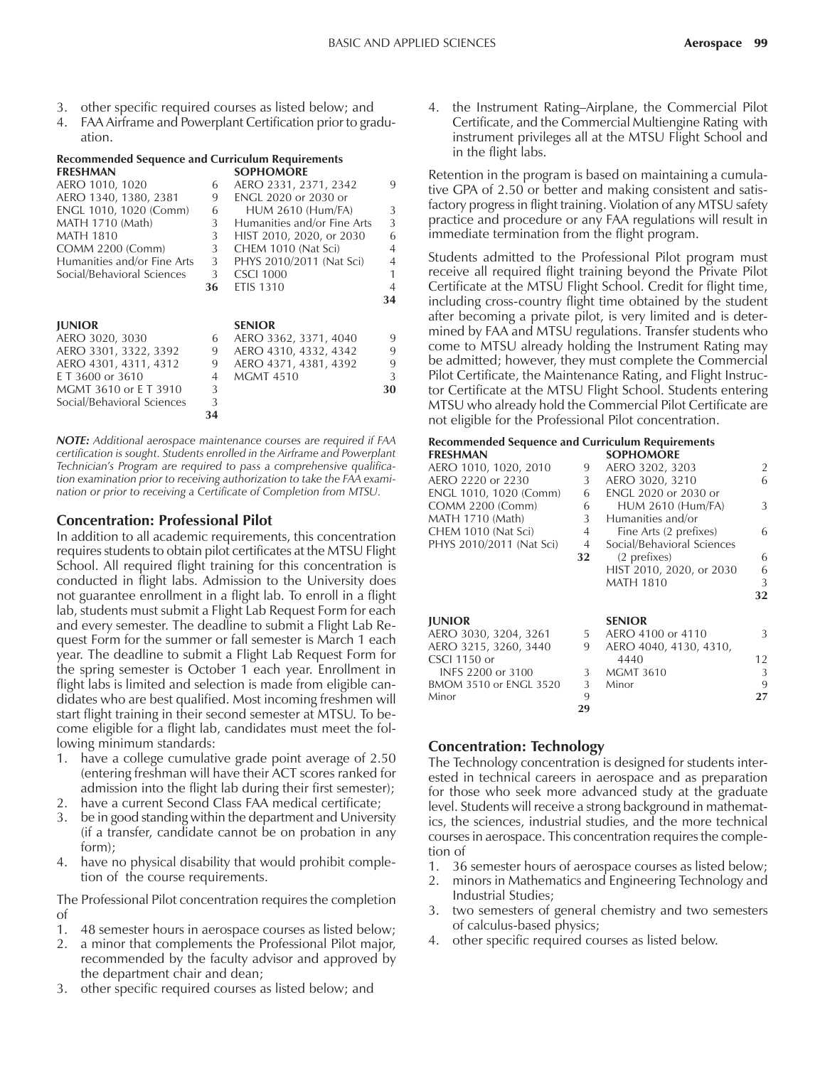- 3. other specific required courses as listed below; and
- 4. FAA Airframe and Powerplant Certification prior to graduation.

## **Recommended Sequence and Curriculum Requirements**

| <b>FRESHMAN</b>             |    | <b>SOPHOMORE</b>            |                |
|-----------------------------|----|-----------------------------|----------------|
| AERO 1010, 1020             | 6  | AERO 2331, 2371, 2342       | 9              |
| AERO 1340, 1380, 2381       | 9  | <b>ENGL 2020 or 2030 or</b> |                |
| ENGL 1010, 1020 (Comm)      | 6  | <b>HUM 2610 (Hum/FA)</b>    | 3              |
| MATH 1710 (Math)            | 3  | Humanities and/or Fine Arts | 3              |
| <b>MATH 1810</b>            | 3  | HIST 2010, 2020, or 2030    | 6              |
| <b>COMM 2200 (Comm)</b>     | 3  | CHEM 1010 (Nat Sci)         | $\overline{4}$ |
| Humanities and/or Fine Arts | 3  | PHYS 2010/2011 (Nat Sci)    | $\overline{4}$ |
| Social/Behavioral Sciences  | 3  | <b>CSCI 1000</b>            | 1              |
|                             | 36 | <b>ETIS 1310</b>            | 4              |
|                             |    |                             | 34             |
| <b>JUNIOR</b>               |    | <b>SENIOR</b>               |                |
| AERO 3020, 3030             |    |                             | 9              |
|                             | 6  | AERO 3362, 3371, 4040       | 9              |
| AERO 3301, 3322, 3392       | 9  | AERO 4310, 4332, 4342       |                |
| AERO 4301, 4311, 4312       | 9  | AERO 4371, 4381, 4392       | 9              |
| E T 3600 or 3610            | 4  | <b>MGMT 4510</b>            | 3              |
| MGMT 3610 or ET 3910        | 3  |                             | 30             |
| Social/Behavioral Sciences  | 3  |                             |                |
|                             | 34 |                             |                |
|                             |    |                             |                |

*NOTE: Additional aerospace maintenance courses are required if FAA certification is sought. Students enrolled in the Airframe and Powerplant Technicianís Program are required to pass a comprehensive qualification examination prior to receiving authorization to take the FAA examination or prior to receiving a Certificate of Completion from MTSU.*

### **Concentration: Professional Pilot**

In addition to all academic requirements, this concentration requires students to obtain pilot certificates at the MTSU Flight School. All required flight training for this concentration is conducted in flight labs. Admission to the University does not guarantee enrollment in a flight lab. To enroll in a flight lab, students must submit a Flight Lab Request Form for each and every semester. The deadline to submit a Flight Lab Request Form for the summer or fall semester is March 1 each year. The deadline to submit a Flight Lab Request Form for the spring semester is October 1 each year. Enrollment in flight labs is limited and selection is made from eligible candidates who are best qualified. Most incoming freshmen will start flight training in their second semester at MTSU. To become eligible for a flight lab, candidates must meet the following minimum standards:

- 1. have a college cumulative grade point average of 2.50 (entering freshman will have their ACT scores ranked for admission into the flight lab during their first semester);
- 2. have a current Second Class FAA medical certificate;
- 3. be in good standing within the department and University (if a transfer, candidate cannot be on probation in any form);
- 4. have no physical disability that would prohibit completion of the course requirements.

The Professional Pilot concentration requires the completion of

- 1. 48 semester hours in aerospace courses as listed below;
- 2. a minor that complements the Professional Pilot major, recommended by the faculty advisor and approved by the department chair and dean;
- 3. other specific required courses as listed below; and

4. the Instrument Rating–Airplane, the Commercial Pilot Certificate, and the Commercial Multiengine Rating with instrument privileges all at the MTSU Flight School and in the flight labs.

Retention in the program is based on maintaining a cumulative GPA of 2.50 or better and making consistent and satisfactory progress in flight training. Violation of any MTSU safety practice and procedure or any FAA regulations will result in immediate termination from the flight program.

Students admitted to the Professional Pilot program must receive all required flight training beyond the Private Pilot Certificate at the MTSU Flight School. Credit for flight time, including cross-country flight time obtained by the student after becoming a private pilot, is very limited and is determined by FAA and MTSU regulations. Transfer students who come to MTSU already holding the Instrument Rating may be admitted; however, they must complete the Commercial Pilot Certificate, the Maintenance Rating, and Flight Instructor Certificate at the MTSU Flight School. Students entering MTSU who already hold the Commercial Pilot Certificate are not eligible for the Professional Pilot concentration.

### **Recommended Sequence and Curriculum Requirements**

| <b>FRESHMAN</b>          |    | <b>SOPHOMORE</b>            |    |
|--------------------------|----|-----------------------------|----|
| AERO 1010, 1020, 2010    | 9  | AERO 3202, 3203             | 2  |
| AERO 2220 or 2230        | 3  | AERO 3020, 3210             | 6  |
| ENGL 1010, 1020 (Comm)   | 6  | <b>ENGL 2020 or 2030 or</b> |    |
| <b>COMM 2200 (Comm)</b>  | 6  | <b>HUM 2610 (Hum/FA)</b>    | 3  |
| MATH 1710 (Math)         | 3  | Humanities and/or           |    |
| CHEM 1010 (Nat Sci)      | 4  | Fine Arts (2 prefixes)      | 6  |
| PHYS 2010/2011 (Nat Sci) | 4  | Social/Behavioral Sciences  |    |
|                          | 32 | (2 prefixes)                | 6  |
|                          |    | HIST 2010, 2020, or 2030    | 6  |
|                          |    | <b>MATH 1810</b>            | 3  |
|                          |    |                             | 32 |
| <b>JUNIOR</b>            |    | <b>SENIOR</b>               |    |
| AERO 3030, 3204, 3261    | 5  | AERO 4100 or 4110           | 3  |
| AERO 3215, 3260, 3440    | 9  | AERO 4040, 4130, 4310,      |    |
| <b>CSCI 1150 or</b>      |    | 4440                        | 12 |
| INFS 2200 or 3100        | 3  | <b>MGMT 3610</b>            | 3  |
| BMOM 3510 or ENGL 3520   | 3  | Minor                       | 9  |
| Minor                    | 9  |                             | 27 |
|                          | 29 |                             |    |

### **Concentration: Technology**

The Technology concentration is designed for students interested in technical careers in aerospace and as preparation for those who seek more advanced study at the graduate level. Students will receive a strong background in mathematics, the sciences, industrial studies, and the more technical courses in aerospace. This concentration requires the completion of

- 1. 36 semester hours of aerospace courses as listed below;
- 2. minors in Mathematics and Engineering Technology and Industrial Studies;
- 3. two semesters of general chemistry and two semesters of calculus-based physics;
- 4. other specific required courses as listed below.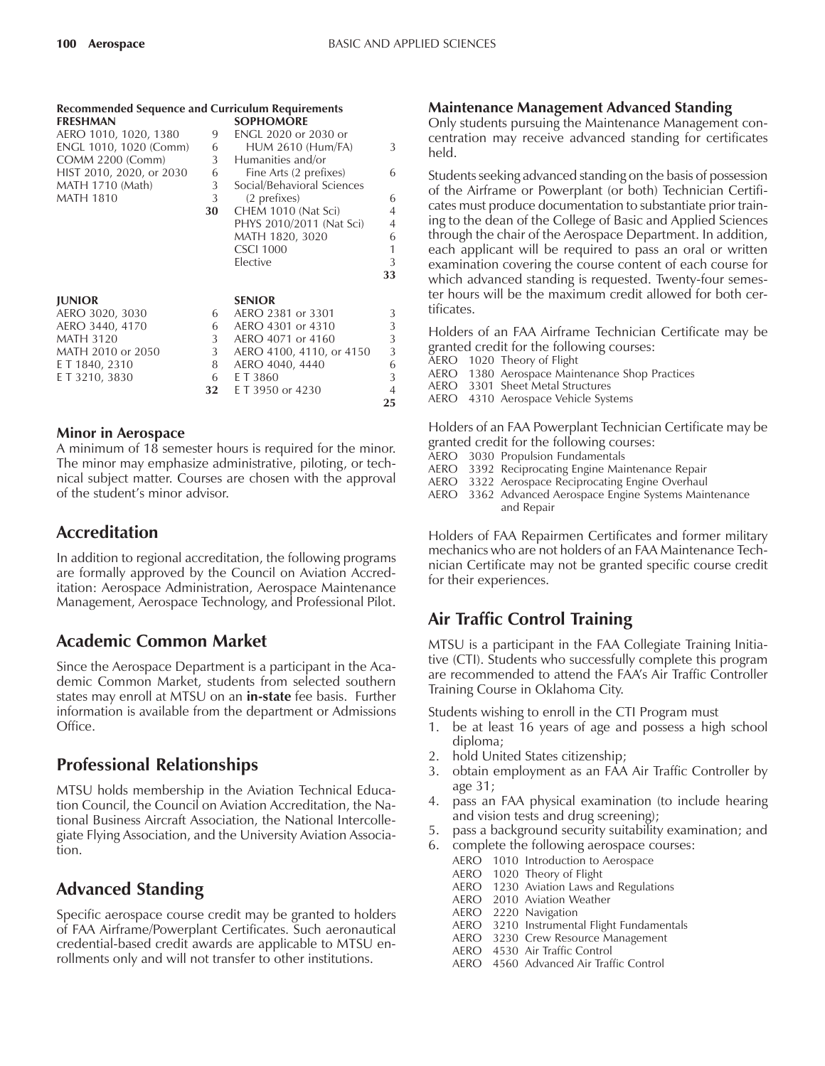| <b>Recommended Sequence and Curriculum Requirements</b> |                |                            |                |
|---------------------------------------------------------|----------------|----------------------------|----------------|
| <b>FRESHMAN</b>                                         |                | <b>SOPHOMORE</b>           |                |
| AERO 1010, 1020, 1380                                   | 9              | ENGL 2020 or 2030 or       |                |
| ENGL 1010, 1020 (Comm)                                  | 6              | <b>HUM 2610 (Hum/FA)</b>   | 3              |
| COMM 2200 (Comm)                                        | 3 <sup>7</sup> | Humanities and/or          |                |
| HIST 2010, 2020, or 2030                                | 6              | Fine Arts (2 prefixes)     | 6              |
| MATH 1710 (Math)                                        | 3              | Social/Behavioral Sciences |                |
| <b>MATH 1810</b>                                        | 3              | (2 prefixes)               | 6              |
|                                                         | 30             | CHEM 1010 (Nat Sci)        | $\overline{4}$ |
|                                                         |                | PHYS 2010/2011 (Nat Sci)   | $\overline{4}$ |
|                                                         |                | MATH 1820, 3020            | 6              |
|                                                         |                | <b>CSCI 1000</b>           | 1              |
|                                                         |                | Elective                   | 3              |
|                                                         |                |                            | 33             |
| <b>JUNIOR</b>                                           |                | <b>SENIOR</b>              |                |
| AERO 3020, 3030                                         | 6              | AERO 2381 or 3301          | 3              |
| AERO 3440, 4170                                         | 6              | AERO 4301 or 4310          | 3              |
| <b>MATH 3120</b>                                        | 3              | AERO 4071 or 4160          | 3              |
| MATH 2010 or 2050                                       | 3              | AERO 4100, 4110, or 4150   | 3              |
| E T 1840, 2310                                          | 8              | AERO 4040, 4440            | 6              |
| E T 3210, 3830                                          | 6              | E T 3860                   | 3              |
|                                                         | 32             | E T 3950 or 4230           | $\overline{4}$ |
|                                                         |                |                            | 25             |

### **Minor in Aerospace**

A minimum of 18 semester hours is required for the minor. The minor may emphasize administrative, piloting, or technical subject matter. Courses are chosen with the approval of the student's minor advisor.

## **Accreditation**

In addition to regional accreditation, the following programs are formally approved by the Council on Aviation Accreditation: Aerospace Administration, Aerospace Maintenance Management, Aerospace Technology, and Professional Pilot.

### **Academic Common Market**

Since the Aerospace Department is a participant in the Academic Common Market, students from selected southern states may enroll at MTSU on an **in-state** fee basis. Further information is available from the department or Admissions Office.

## **Professional Relationships**

MTSU holds membership in the Aviation Technical Education Council, the Council on Aviation Accreditation, the National Business Aircraft Association, the National Intercollegiate Flying Association, and the University Aviation Association.

# **Advanced Standing**

Specific aerospace course credit may be granted to holders of FAA Airframe/Powerplant Certificates. Such aeronautical credential-based credit awards are applicable to MTSU enrollments only and will not transfer to other institutions.

### **Maintenance Management Advanced Standing**

Only students pursuing the Maintenance Management concentration may receive advanced standing for certificates held.

Students seeking advanced standing on the basis of possession of the Airframe or Powerplant (or both) Technician Certificates must produce documentation to substantiate prior training to the dean of the College of Basic and Applied Sciences through the chair of the Aerospace Department. In addition, each applicant will be required to pass an oral or written examination covering the course content of each course for which advanced standing is requested. Twenty-four semester hours will be the maximum credit allowed for both certificates.

Holders of an FAA Airframe Technician Certificate may be granted credit for the following courses:

- AERO 1020 Theory of Flight
- AERO 1380 Aerospace Maintenance Shop Practices
- AERO 3301 Sheet Metal Structures
- AERO 4310 Aerospace Vehicle Systems

Holders of an FAA Powerplant Technician Certificate may be granted credit for the following courses:

- AERO 3030 Propulsion Fundamentals
- AERO 3392 Reciprocating Engine Maintenance Repair
- AERO 3322 Aerospace Reciprocating Engine Overhaul
- AERO 3362 Advanced Aerospace Engine Systems Maintenance and Repair

Holders of FAA Repairmen Certificates and former military mechanics who are not holders of an FAA Maintenance Technician Certificate may not be granted specific course credit for their experiences.

## **Air Traffic Control Training**

MTSU is a participant in the FAA Collegiate Training Initiative (CTI). Students who successfully complete this program are recommended to attend the FAAís Air Traffic Controller Training Course in Oklahoma City.

Students wishing to enroll in the CTI Program must

- 1. be at least 16 years of age and possess a high school diploma;
- 2. hold United States citizenship;
- 3. obtain employment as an FAA Air Traffic Controller by age 31;
- 4. pass an FAA physical examination (to include hearing and vision tests and drug screening);
- 5. pass a background security suitability examination; and
- 6. complete the following aerospace courses:
	- AERO 1010 Introduction to Aerospace
	- AERO 1020 Theory of Flight
	- AERO 1230 Aviation Laws and Regulations
	- AERO 2010 Aviation Weather
	- AERO 2220 Navigation
	- AERO 3210 Instrumental Flight Fundamentals
	- AERO 3230 Crew Resource Management
	- AERO 4530 Air Traffic Control
	- AERO 4560 Advanced Air Traffic Control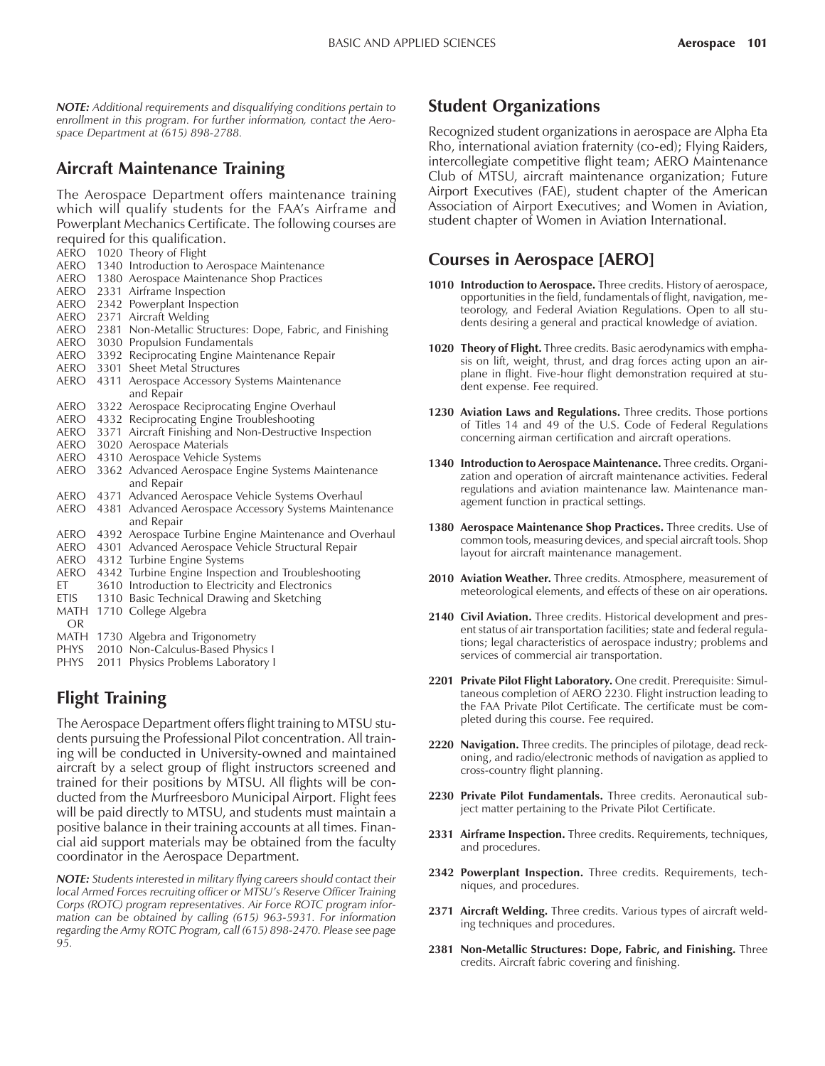*NOTE: Additional requirements and disqualifying conditions pertain to enrollment in this program. For further information, contact the Aerospace Department at (615) 898-2788.*

## **Aircraft Maintenance Training**

The Aerospace Department offers maintenance training which will qualify students for the FAA's Airframe and Powerplant Mechanics Certificate. The following courses are required for this qualification.

- AERO 1020 Theory of Flight
- AERO 1340 Introduction to Aerospace Maintenance
- AERO 1380 Aerospace Maintenance Shop Practices
- AERO 2331 Airframe Inspection
- AERO 2342 Powerplant Inspection
- AERO 2371 Aircraft Welding
- AERO 2381 Non-Metallic Structures: Dope, Fabric, and Finishing
- AERO 3030 Propulsion Fundamentals
- AERO 3392 Reciprocating Engine Maintenance Repair
- AERO 3301 Sheet Metal Structures
- AERO 4311 Aerospace Accessory Systems Maintenance and Repair
- AERO 3322 Aerospace Reciprocating Engine Overhaul
- AERO 4332 Reciprocating Engine Troubleshooting
- AERO 3371 Aircraft Finishing and Non-Destructive Inspection
- AERO 3020 Aerospace Materials
- AERO 4310 Aerospace Vehicle Systems
- AERO 3362 Advanced Aerospace Engine Systems Maintenance and Repair
- AERO 4371 Advanced Aerospace Vehicle Systems Overhaul
- AERO 4381 Advanced Aerospace Accessory Systems Maintenance and Repair
- AERO 4392 Aerospace Turbine Engine Maintenance and Overhaul
- AERO 4301 Advanced Aerospace Vehicle Structural Repair AERO 4312 Turbine Engine Systems
- AERO 4342 Turbine Engine Inspection and Troubleshooting
- 
- ET 3610 Introduction to Electricity and Electronics<br>ETIS 1310 Basic Technical Drawing and Sketching 1310 Basic Technical Drawing and Sketching
- MATH 1710 College Algebra
- OR
- MATH 1730 Algebra and Trigonometry
- PHYS 2010 Non-Calculus-Based Physics I
- PHYS 2011 Physics Problems Laboratory I

# **Flight Training**

The Aerospace Department offers flight training to MTSU students pursuing the Professional Pilot concentration. All training will be conducted in University-owned and maintained aircraft by a select group of flight instructors screened and trained for their positions by MTSU. All flights will be conducted from the Murfreesboro Municipal Airport. Flight fees will be paid directly to MTSU, and students must maintain a positive balance in their training accounts at all times. Financial aid support materials may be obtained from the faculty coordinator in the Aerospace Department.

*NOTE: Students interested in military flying careers should contact their local Armed Forces recruiting officer or MTSU's Reserve Officer Training Corps (ROTC) program representatives. Air Force ROTC program information can be obtained by calling (615) 963-5931. For information regarding the Army ROTC Program, call (615) 898-2470. Please see page 95.*

### **Student Organizations**

Recognized student organizations in aerospace are Alpha Eta Rho, international aviation fraternity (co-ed); Flying Raiders, intercollegiate competitive flight team; AERO Maintenance Club of MTSU, aircraft maintenance organization; Future Airport Executives (FAE), student chapter of the American Association of Airport Executives; and Women in Aviation, student chapter of Women in Aviation International.

## **Courses in Aerospace [AERO]**

- **1010 Introduction to Aerospace.** Three credits. History of aerospace, opportunities in the field, fundamentals of flight, navigation, meteorology, and Federal Aviation Regulations. Open to all students desiring a general and practical knowledge of aviation.
- **1020 Theory of Flight.** Three credits. Basic aerodynamics with emphasis on lift, weight, thrust, and drag forces acting upon an airplane in flight. Five-hour flight demonstration required at student expense. Fee required.
- **1230 Aviation Laws and Regulations.** Three credits. Those portions of Titles 14 and 49 of the U.S. Code of Federal Regulations concerning airman certification and aircraft operations.
- **1340 Introduction to Aerospace Maintenance.** Three credits. Organization and operation of aircraft maintenance activities. Federal regulations and aviation maintenance law. Maintenance management function in practical settings.
- **1380 Aerospace Maintenance Shop Practices.** Three credits. Use of common tools, measuring devices, and special aircraft tools. Shop layout for aircraft maintenance management.
- **2010 Aviation Weather.** Three credits. Atmosphere, measurement of meteorological elements, and effects of these on air operations.
- **2140 Civil Aviation.** Three credits. Historical development and present status of air transportation facilities; state and federal regulations; legal characteristics of aerospace industry; problems and services of commercial air transportation.
- **2201 Private Pilot Flight Laboratory.** One credit. Prerequisite: Simultaneous completion of AERO 2230. Flight instruction leading to the FAA Private Pilot Certificate. The certificate must be completed during this course. Fee required.
- **2220 Navigation.** Three credits. The principles of pilotage, dead reckoning, and radio/electronic methods of navigation as applied to cross-country flight planning.
- **2230 Private Pilot Fundamentals.** Three credits. Aeronautical subject matter pertaining to the Private Pilot Certificate.
- **2331 Airframe Inspection.** Three credits. Requirements, techniques, and procedures.
- **2342 Powerplant Inspection.** Three credits. Requirements, techniques, and procedures.
- **2371 Aircraft Welding.** Three credits. Various types of aircraft welding techniques and procedures.
- **2381 Non-Metallic Structures: Dope, Fabric, and Finishing.** Three credits. Aircraft fabric covering and finishing.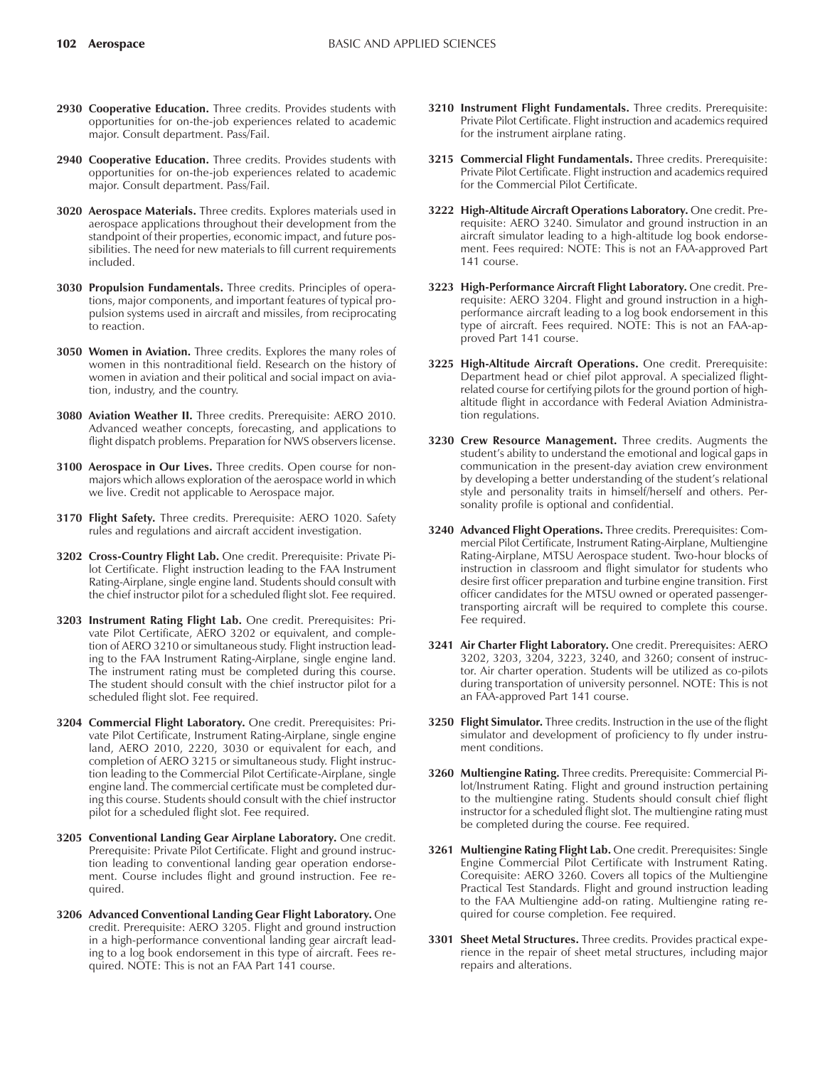- **2930 Cooperative Education.** Three credits. Provides students with opportunities for on-the-job experiences related to academic major. Consult department. Pass/Fail.
- **2940 Cooperative Education.** Three credits. Provides students with opportunities for on-the-job experiences related to academic major. Consult department. Pass/Fail.
- **3020 Aerospace Materials.** Three credits. Explores materials used in aerospace applications throughout their development from the standpoint of their properties, economic impact, and future possibilities. The need for new materials to fill current requirements included.
- **3030 Propulsion Fundamentals.** Three credits. Principles of operations, major components, and important features of typical propulsion systems used in aircraft and missiles, from reciprocating to reaction.
- **3050 Women in Aviation.** Three credits. Explores the many roles of women in this nontraditional field. Research on the history of women in aviation and their political and social impact on aviation, industry, and the country.
- **3080 Aviation Weather II.** Three credits. Prerequisite: AERO 2010. Advanced weather concepts, forecasting, and applications to flight dispatch problems. Preparation for NWS observers license.
- **3100 Aerospace in Our Lives.** Three credits. Open course for nonmajors which allows exploration of the aerospace world in which we live. Credit not applicable to Aerospace major.
- **3170 Flight Safety.** Three credits. Prerequisite: AERO 1020. Safety rules and regulations and aircraft accident investigation.
- **3202 Cross-Country Flight Lab.** One credit. Prerequisite: Private Pilot Certificate. Flight instruction leading to the FAA Instrument Rating-Airplane, single engine land. Students should consult with the chief instructor pilot for a scheduled flight slot. Fee required.
- **3203 Instrument Rating Flight Lab.** One credit. Prerequisites: Private Pilot Certificate, AERO 3202 or equivalent, and completion of AERO 3210 or simultaneous study. Flight instruction leading to the FAA Instrument Rating-Airplane, single engine land. The instrument rating must be completed during this course. The student should consult with the chief instructor pilot for a scheduled flight slot. Fee required.
- **3204 Commercial Flight Laboratory.** One credit. Prerequisites: Private Pilot Certificate, Instrument Rating-Airplane, single engine land, AERO 2010, 2220, 3030 or equivalent for each, and completion of AERO 3215 or simultaneous study. Flight instruction leading to the Commercial Pilot Certificate-Airplane, single engine land. The commercial certificate must be completed during this course. Students should consult with the chief instructor pilot for a scheduled flight slot. Fee required.
- **3205 Conventional Landing Gear Airplane Laboratory.** One credit. Prerequisite: Private Pilot Certificate. Flight and ground instruction leading to conventional landing gear operation endorsement. Course includes flight and ground instruction. Fee required.
- **3206 Advanced Conventional Landing Gear Flight Laboratory.** One credit. Prerequisite: AERO 3205. Flight and ground instruction in a high-performance conventional landing gear aircraft leading to a log book endorsement in this type of aircraft. Fees required. NOTE: This is not an FAA Part 141 course.
- **3210 Instrument Flight Fundamentals.** Three credits. Prerequisite: Private Pilot Certificate. Flight instruction and academics required for the instrument airplane rating.
- **3215 Commercial Flight Fundamentals.** Three credits. Prerequisite: Private Pilot Certificate. Flight instruction and academics required for the Commercial Pilot Certificate.
- **3222 High-Altitude Aircraft Operations Laboratory.** One credit. Prerequisite: AERO 3240. Simulator and ground instruction in an aircraft simulator leading to a high-altitude log book endorsement. Fees required: NOTE: This is not an FAA-approved Part 141 course.
- **3223 High-Performance Aircraft Flight Laboratory.** One credit. Prerequisite: AERO 3204. Flight and ground instruction in a highperformance aircraft leading to a log book endorsement in this type of aircraft. Fees required. NOTE: This is not an FAA-approved Part 141 course.
- **3225 High-Altitude Aircraft Operations.** One credit. Prerequisite: Department head or chief pilot approval. A specialized flightrelated course for certifying pilots for the ground portion of highaltitude flight in accordance with Federal Aviation Administration regulations.
- **3230 Crew Resource Management.** Three credits. Augments the student's ability to understand the emotional and logical gaps in communication in the present-day aviation crew environment by developing a better understanding of the student's relational style and personality traits in himself/herself and others. Personality profile is optional and confidential.
- **3240 Advanced Flight Operations.** Three credits. Prerequisites: Commercial Pilot Certificate, Instrument Rating-Airplane, Multiengine Rating-Airplane, MTSU Aerospace student. Two-hour blocks of instruction in classroom and flight simulator for students who desire first officer preparation and turbine engine transition. First officer candidates for the MTSU owned or operated passengertransporting aircraft will be required to complete this course. Fee required.
- **3241 Air Charter Flight Laboratory.** One credit. Prerequisites: AERO 3202, 3203, 3204, 3223, 3240, and 3260; consent of instructor. Air charter operation. Students will be utilized as co-pilots during transportation of university personnel. NOTE: This is not an FAA-approved Part 141 course.
- **3250 Flight Simulator.** Three credits. Instruction in the use of the flight simulator and development of proficiency to fly under instrument conditions.
- **3260 Multiengine Rating.** Three credits. Prerequisite: Commercial Pilot/Instrument Rating. Flight and ground instruction pertaining to the multiengine rating. Students should consult chief flight instructor for a scheduled flight slot. The multiengine rating must be completed during the course. Fee required.
- **3261 Multiengine Rating Flight Lab.** One credit. Prerequisites: Single Engine Commercial Pilot Certificate with Instrument Rating. Corequisite: AERO 3260. Covers all topics of the Multiengine Practical Test Standards. Flight and ground instruction leading to the FAA Multiengine add-on rating. Multiengine rating required for course completion. Fee required.
- **3301 Sheet Metal Structures.** Three credits. Provides practical experience in the repair of sheet metal structures, including major repairs and alterations.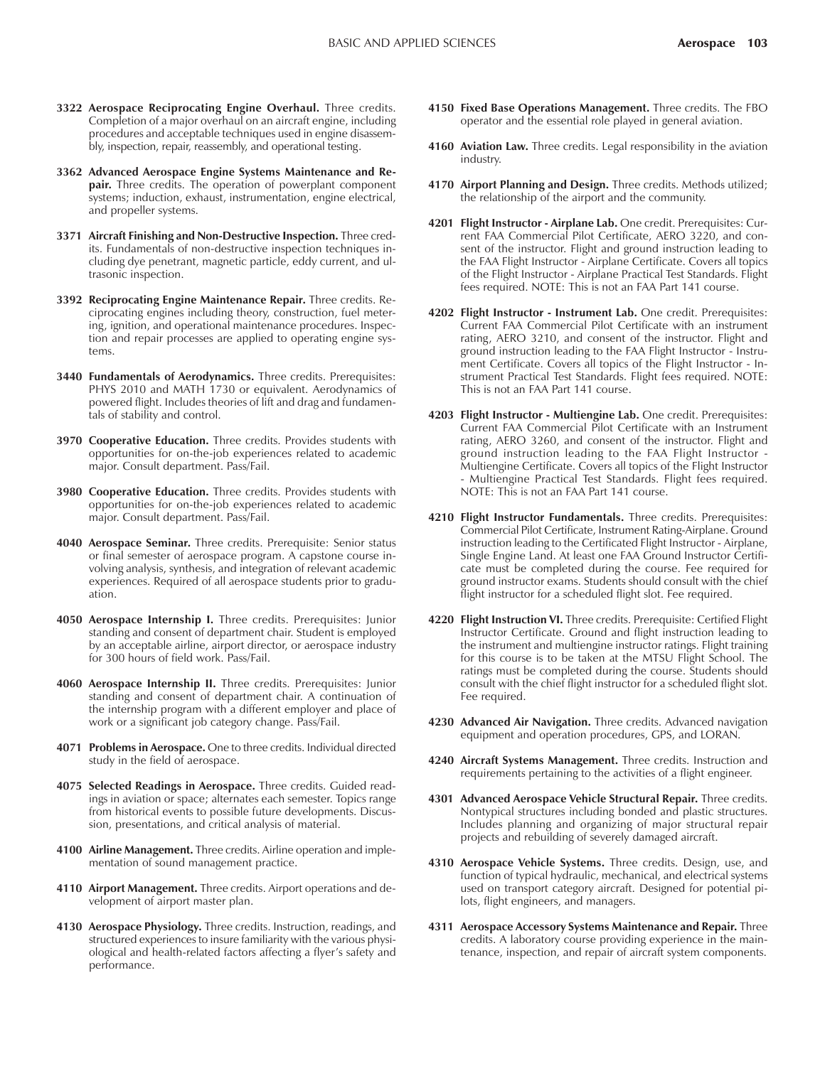- **3322 Aerospace Reciprocating Engine Overhaul.** Three credits. Completion of a major overhaul on an aircraft engine, including procedures and acceptable techniques used in engine disassembly, inspection, repair, reassembly, and operational testing.
- **3362 Advanced Aerospace Engine Systems Maintenance and Repair.** Three credits. The operation of powerplant component systems; induction, exhaust, instrumentation, engine electrical, and propeller systems.
- **3371 Aircraft Finishing and Non-Destructive Inspection.** Three credits. Fundamentals of non-destructive inspection techniques including dye penetrant, magnetic particle, eddy current, and ultrasonic inspection.
- **3392 Reciprocating Engine Maintenance Repair.** Three credits. Reciprocating engines including theory, construction, fuel metering, ignition, and operational maintenance procedures. Inspection and repair processes are applied to operating engine systems.
- **3440 Fundamentals of Aerodynamics.** Three credits. Prerequisites: PHYS 2010 and MATH 1730 or equivalent. Aerodynamics of powered flight. Includes theories of lift and drag and fundamentals of stability and control.
- **3970 Cooperative Education.** Three credits. Provides students with opportunities for on-the-job experiences related to academic major. Consult department. Pass/Fail.
- **3980 Cooperative Education.** Three credits. Provides students with opportunities for on-the-job experiences related to academic major. Consult department. Pass/Fail.
- **4040 Aerospace Seminar.** Three credits. Prerequisite: Senior status or final semester of aerospace program. A capstone course involving analysis, synthesis, and integration of relevant academic experiences. Required of all aerospace students prior to graduation.
- **4050 Aerospace Internship I.** Three credits. Prerequisites: Junior standing and consent of department chair. Student is employed by an acceptable airline, airport director, or aerospace industry for 300 hours of field work. Pass/Fail.
- **4060 Aerospace Internship II.** Three credits. Prerequisites: Junior standing and consent of department chair. A continuation of the internship program with a different employer and place of work or a significant job category change. Pass/Fail.
- **4071 Problems in Aerospace.** One to three credits. Individual directed study in the field of aerospace.
- **4075 Selected Readings in Aerospace.** Three credits. Guided readings in aviation or space; alternates each semester. Topics range from historical events to possible future developments. Discussion, presentations, and critical analysis of material.
- **4100 Airline Management.** Three credits. Airline operation and implementation of sound management practice.
- **4110 Airport Management.** Three credits. Airport operations and development of airport master plan.
- **4130 Aerospace Physiology.** Three credits. Instruction, readings, and structured experiences to insure familiarity with the various physiological and health-related factors affecting a flyer's safety and performance.
- **4150 Fixed Base Operations Management.** Three credits. The FBO operator and the essential role played in general aviation.
- **4160 Aviation Law.** Three credits. Legal responsibility in the aviation industry.
- **4170 Airport Planning and Design.** Three credits. Methods utilized; the relationship of the airport and the community.
- **4201 Flight Instructor Airplane Lab.** One credit. Prerequisites: Current FAA Commercial Pilot Certificate, AERO 3220, and consent of the instructor. Flight and ground instruction leading to the FAA Flight Instructor - Airplane Certificate. Covers all topics of the Flight Instructor - Airplane Practical Test Standards. Flight fees required. NOTE: This is not an FAA Part 141 course.
- **4202 Flight Instructor Instrument Lab.** One credit. Prerequisites: Current FAA Commercial Pilot Certificate with an instrument rating, AERO 3210, and consent of the instructor. Flight and ground instruction leading to the FAA Flight Instructor - Instrument Certificate. Covers all topics of the Flight Instructor - Instrument Practical Test Standards. Flight fees required. NOTE: This is not an FAA Part 141 course.
- **4203 Flight Instructor Multiengine Lab.** One credit. Prerequisites: Current FAA Commercial Pilot Certificate with an Instrument rating, AERO 3260, and consent of the instructor. Flight and ground instruction leading to the FAA Flight Instructor - Multiengine Certificate. Covers all topics of the Flight Instructor - Multiengine Practical Test Standards. Flight fees required. NOTE: This is not an FAA Part 141 course.
- **4210 Flight Instructor Fundamentals.** Three credits. Prerequisites: Commercial Pilot Certificate, Instrument Rating-Airplane. Ground instruction leading to the Certificated Flight Instructor - Airplane, Single Engine Land. At least one FAA Ground Instructor Certificate must be completed during the course. Fee required for ground instructor exams. Students should consult with the chief flight instructor for a scheduled flight slot. Fee required.
- **4220 Flight Instruction VI.** Three credits. Prerequisite: Certified Flight Instructor Certificate. Ground and flight instruction leading to the instrument and multiengine instructor ratings. Flight training for this course is to be taken at the MTSU Flight School. The ratings must be completed during the course. Students should consult with the chief flight instructor for a scheduled flight slot. Fee required.
- **4230 Advanced Air Navigation.** Three credits. Advanced navigation equipment and operation procedures, GPS, and LORAN.
- **4240 Aircraft Systems Management.** Three credits. Instruction and requirements pertaining to the activities of a flight engineer.
- **4301 Advanced Aerospace Vehicle Structural Repair.** Three credits. Nontypical structures including bonded and plastic structures. Includes planning and organizing of major structural repair projects and rebuilding of severely damaged aircraft.
- **4310 Aerospace Vehicle Systems.** Three credits. Design, use, and function of typical hydraulic, mechanical, and electrical systems used on transport category aircraft. Designed for potential pilots, flight engineers, and managers.
- **4311 Aerospace Accessory Systems Maintenance and Repair.** Three credits. A laboratory course providing experience in the maintenance, inspection, and repair of aircraft system components.